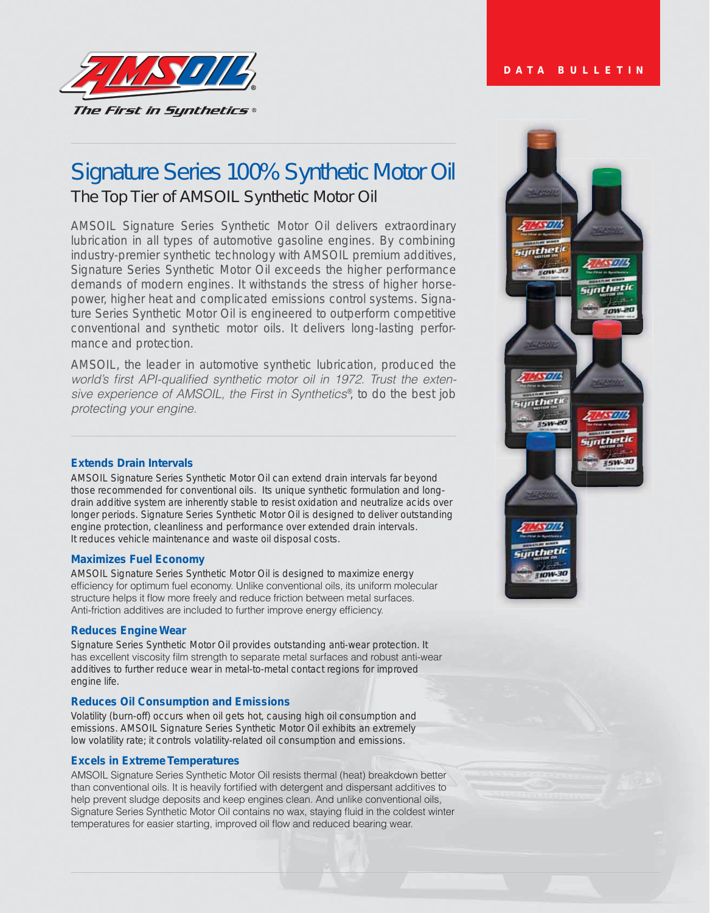

# Signature Series 100% Synthetic Motor Oil The Top Tier of AMSOIL Synthetic Motor Oil

AMSOIL Signature Series Synthetic Motor Oil delivers extraordinary lubrication in all types of automotive gasoline engines. By combining industry-premier synthetic technology with AMSOIL premium additives, Signature Series Synthetic Motor Oil exceeds the higher performance demands of modern engines. It withstands the stress of higher horsepower, higher heat and complicated emissions control systems. Signature Series Synthetic Motor Oil is engineered to outperform competitive conventional and synthetic motor oils. It delivers long-lasting performance and protection.

*AMSOIL, the leader in automotive synthetic lubrication, produced the*  world's first API-qualified synthetic motor oil in 1972. Trust the extensive experience of AMSOIL, the First in Synthetics<sup>®</sup>, to do the best job protecting your engine.

## **Extends Drain Intervals**

AMSOIL Signature Series Synthetic Motor Oil can extend drain intervals far beyond those recommended for conventional oils. Its unique synthetic formulation and longdrain additive system are inherently stable to resist oxidation and neutralize acids over longer periods. Signature Series Synthetic Motor Oil is designed to deliver outstanding engine protection, cleanliness and performance over extended drain intervals. It reduces vehicle maintenance and waste oil disposal costs.

## **Maximizes Fuel Economy**

AMSOIL Signature Series Synthetic Motor Oil is designed to maximize energy efficiency for optimum fuel economy. Unlike conventional oils, its uniform molecular structure helps it flow more freely and reduce friction between metal surfaces. Anti-friction additives are included to further improve energy efficiency.

## **Reduces Engine Wear**

Signature Series Synthetic Motor Oil provides outstanding anti-wear protection. It has excellent viscosity film strength to separate metal surfaces and robust anti-wear additives to further reduce wear in metal-to-metal contact regions for improved engine life.

## **Reduces Oil Consumption and Emissions**

Volatility (burn-off) occurs when oil gets hot, causing high oil consumption and emissions. AMSOIL Signature Series Synthetic Motor Oil exhibits an extremely low volatility rate; it controls volatility-related oil consumption and emissions.

## **Excels in Extreme Temperatures**

AMSOIL Signature Series Synthetic Motor Oil resists thermal (heat) breakdown better than conventional oils. It is heavily fortified with detergent and dispersant additives to help prevent sludge deposits and keep engines clean. And unlike conventional oils, Signature Series Synthetic Motor Oil contains no wax, staying fluid in the coldest winter temperatures for easier starting, improved oil flow and reduced bearing wear.